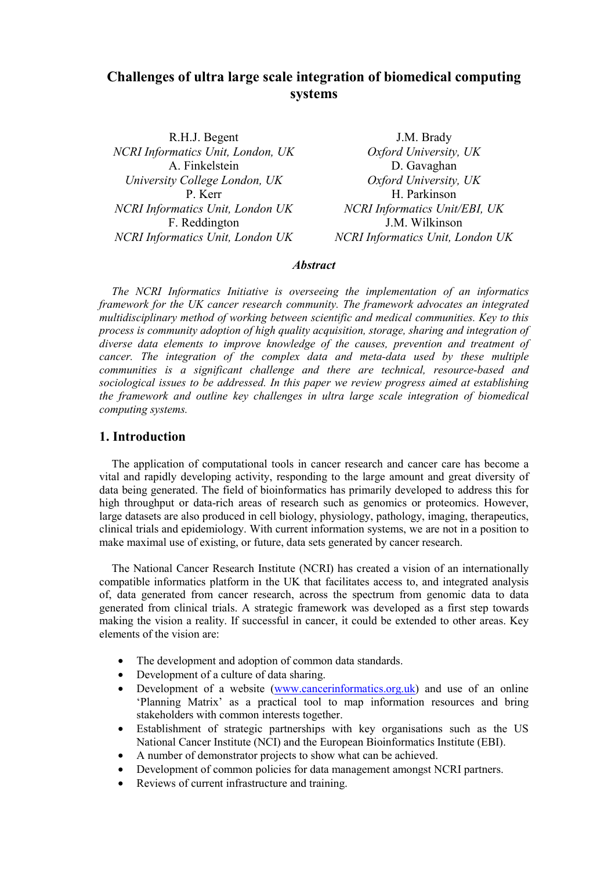# **Challenges of ultra large scale integration of biomedical computing systems**

R.H.J. Begent *NCRI Informatics Unit, London, UK* J.M. Brady *Oxford University, UK* A. Finkelstein *University College London, UK* D. Gavaghan *Oxford University, UK* P. Kerr *NCRI Informatics Unit, London UK* H. Parkinson *NCRI Informatics Unit/EBI, UK* F. Reddington *NCRI Informatics Unit, London UK* J.M. Wilkinson *NCRI Informatics Unit, London UK*

#### *Abstract*

*The NCRI Informatics Initiative is overseeing the implementation of an informatics framework for the UK cancer research community. The framework advocates an integrated multidisciplinary method of working between scientific and medical communities. Key to this process is community adoption of high quality acquisition, storage, sharing and integration of diverse data elements to improve knowledge of the causes, prevention and treatment of cancer. The integration of the complex data and meta-data used by these multiple communities is a significant challenge and there are technical, resource-based and sociological issues to be addressed. In this paper we review progress aimed at establishing the framework and outline key challenges in ultra large scale integration of biomedical computing systems.* 

# **1. Introduction**

The application of computational tools in cancer research and cancer care has become a vital and rapidly developing activity, responding to the large amount and great diversity of data being generated. The field of bioinformatics has primarily developed to address this for high throughput or data-rich areas of research such as genomics or proteomics. However, large datasets are also produced in cell biology, physiology, pathology, imaging, therapeutics, clinical trials and epidemiology. With current information systems, we are not in a position to make maximal use of existing, or future, data sets generated by cancer research.

The National Cancer Research Institute (NCRI) has created a vision of an internationally compatible informatics platform in the UK that facilitates access to, and integrated analysis of, data generated from cancer research, across the spectrum from genomic data to data generated from clinical trials. A strategic framework was developed as a first step towards making the vision a reality. If successful in cancer, it could be extended to other areas. Key elements of the vision are:

- The development and adoption of common data standards.
- Development of a culture of data sharing.
- Development of a website (www.cancerinformatics.org.uk) and use of an online 'Planning Matrix' as a practical tool to map information resources and bring stakeholders with common interests together.
- Establishment of strategic partnerships with key organisations such as the US National Cancer Institute (NCI) and the European Bioinformatics Institute (EBI).
- A number of demonstrator projects to show what can be achieved.
- Development of common policies for data management amongst NCRI partners.
- Reviews of current infrastructure and training.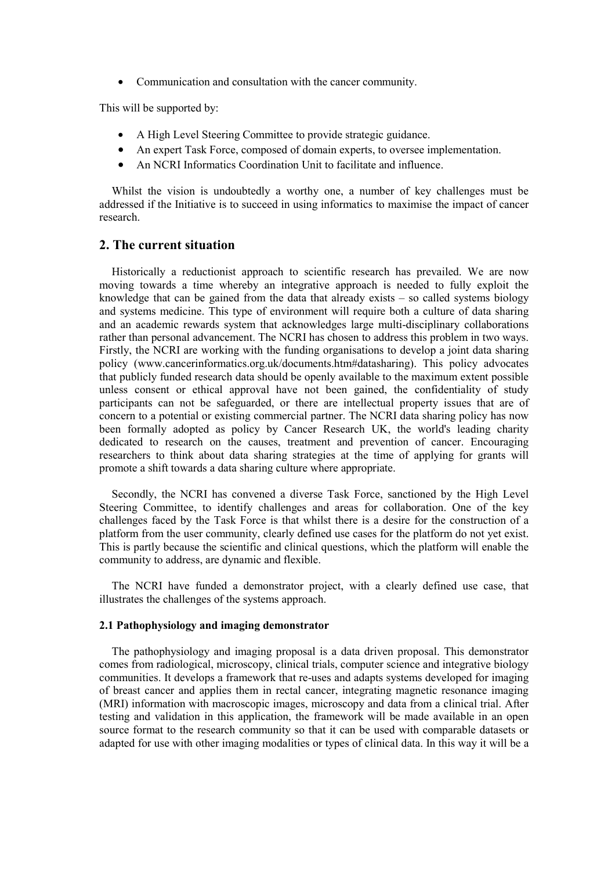• Communication and consultation with the cancer community.

This will be supported by:

- A High Level Steering Committee to provide strategic guidance.
- An expert Task Force, composed of domain experts, to oversee implementation.
- An NCRI Informatics Coordination Unit to facilitate and influence.

Whilst the vision is undoubtedly a worthy one, a number of key challenges must be addressed if the Initiative is to succeed in using informatics to maximise the impact of cancer research.

# **2. The current situation**

Historically a reductionist approach to scientific research has prevailed. We are now moving towards a time whereby an integrative approach is needed to fully exploit the knowledge that can be gained from the data that already exists – so called systems biology and systems medicine. This type of environment will require both a culture of data sharing and an academic rewards system that acknowledges large multi-disciplinary collaborations rather than personal advancement. The NCRI has chosen to address this problem in two ways. Firstly, the NCRI are working with the funding organisations to develop a joint data sharing policy (www.cancerinformatics.org.uk/documents.htm#datasharing). This policy advocates that publicly funded research data should be openly available to the maximum extent possible unless consent or ethical approval have not been gained, the confidentiality of study participants can not be safeguarded, or there are intellectual property issues that are of concern to a potential or existing commercial partner. The NCRI data sharing policy has now been formally adopted as policy by Cancer Research UK, the world's leading charity dedicated to research on the causes, treatment and prevention of cancer. Encouraging researchers to think about data sharing strategies at the time of applying for grants will promote a shift towards a data sharing culture where appropriate.

Secondly, the NCRI has convened a diverse Task Force, sanctioned by the High Level Steering Committee, to identify challenges and areas for collaboration. One of the key challenges faced by the Task Force is that whilst there is a desire for the construction of a platform from the user community, clearly defined use cases for the platform do not yet exist. This is partly because the scientific and clinical questions, which the platform will enable the community to address, are dynamic and flexible.

The NCRI have funded a demonstrator project, with a clearly defined use case, that illustrates the challenges of the systems approach.

## **2.1 Pathophysiology and imaging demonstrator**

The pathophysiology and imaging proposal is a data driven proposal. This demonstrator comes from radiological, microscopy, clinical trials, computer science and integrative biology communities. It develops a framework that re-uses and adapts systems developed for imaging of breast cancer and applies them in rectal cancer, integrating magnetic resonance imaging (MRI) information with macroscopic images, microscopy and data from a clinical trial. After testing and validation in this application, the framework will be made available in an open source format to the research community so that it can be used with comparable datasets or adapted for use with other imaging modalities or types of clinical data. In this way it will be a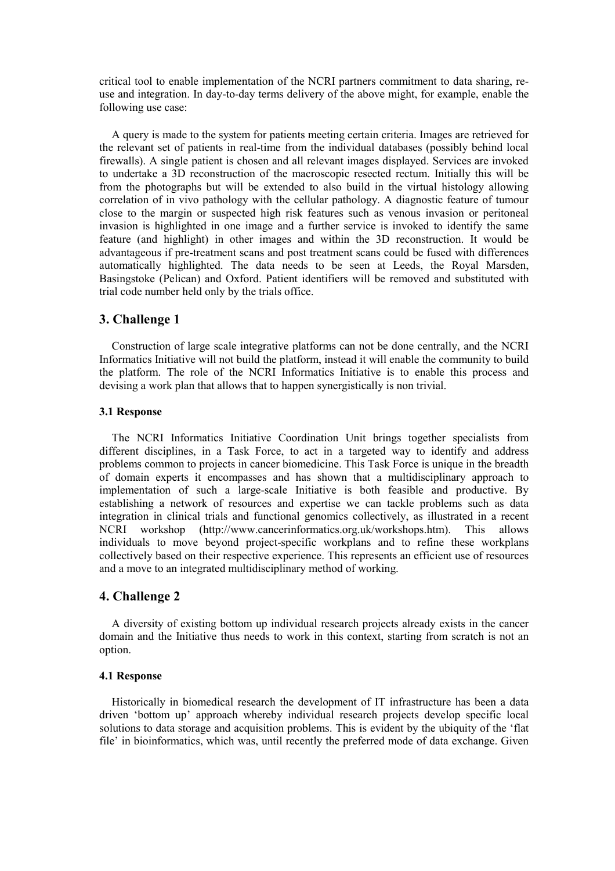critical tool to enable implementation of the NCRI partners commitment to data sharing, reuse and integration. In day-to-day terms delivery of the above might, for example, enable the following use case:

A query is made to the system for patients meeting certain criteria. Images are retrieved for the relevant set of patients in real-time from the individual databases (possibly behind local firewalls). A single patient is chosen and all relevant images displayed. Services are invoked to undertake a 3D reconstruction of the macroscopic resected rectum. Initially this will be from the photographs but will be extended to also build in the virtual histology allowing correlation of in vivo pathology with the cellular pathology. A diagnostic feature of tumour close to the margin or suspected high risk features such as venous invasion or peritoneal invasion is highlighted in one image and a further service is invoked to identify the same feature (and highlight) in other images and within the 3D reconstruction. It would be advantageous if pre-treatment scans and post treatment scans could be fused with differences automatically highlighted. The data needs to be seen at Leeds, the Royal Marsden, Basingstoke (Pelican) and Oxford. Patient identifiers will be removed and substituted with trial code number held only by the trials office.

## **3. Challenge 1**

Construction of large scale integrative platforms can not be done centrally, and the NCRI Informatics Initiative will not build the platform, instead it will enable the community to build the platform. The role of the NCRI Informatics Initiative is to enable this process and devising a work plan that allows that to happen synergistically is non trivial.

#### **3.1 Response**

The NCRI Informatics Initiative Coordination Unit brings together specialists from different disciplines, in a Task Force, to act in a targeted way to identify and address problems common to projects in cancer biomedicine. This Task Force is unique in the breadth of domain experts it encompasses and has shown that a multidisciplinary approach to implementation of such a large-scale Initiative is both feasible and productive. By establishing a network of resources and expertise we can tackle problems such as data integration in clinical trials and functional genomics collectively, as illustrated in a recent NCRI workshop (http://www.cancerinformatics.org.uk/workshops.htm). This allows individuals to move beyond project-specific workplans and to refine these workplans collectively based on their respective experience. This represents an efficient use of resources and a move to an integrated multidisciplinary method of working.

## **4. Challenge 2**

A diversity of existing bottom up individual research projects already exists in the cancer domain and the Initiative thus needs to work in this context, starting from scratch is not an option.

#### **4.1 Response**

Historically in biomedical research the development of IT infrastructure has been a data driven 'bottom up' approach whereby individual research projects develop specific local solutions to data storage and acquisition problems. This is evident by the ubiquity of the 'flat file' in bioinformatics, which was, until recently the preferred mode of data exchange. Given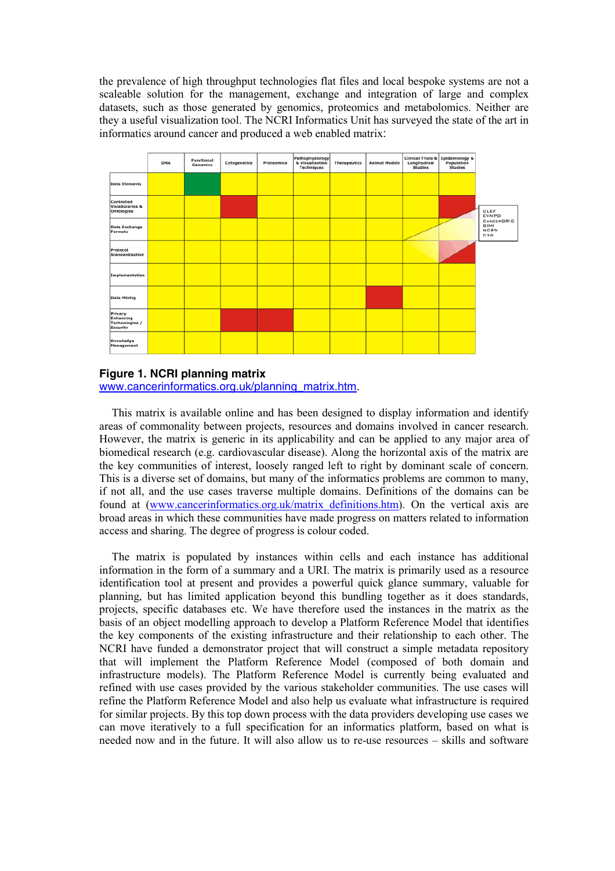the prevalence of high throughput technologies flat files and local bespoke systems are not a scaleable solution for the management, exchange and integration of large and complex datasets, such as those generated by genomics, proteomics and metabolomics. Neither are they a useful visualization tool. The NCRI Informatics Unit has surveyed the state of the art in informatics around cancer and produced a web enabled matrix:



## **Figure 1. NCRI planning matrix**

www.cancerinformatics.org.uk/planning\_matrix.htm.

This matrix is available online and has been designed to display information and identify areas of commonality between projects, resources and domains involved in cancer research. However, the matrix is generic in its applicability and can be applied to any major area of biomedical research (e.g. cardiovascular disease). Along the horizontal axis of the matrix are the key communities of interest, loosely ranged left to right by dominant scale of concern. This is a diverse set of domains, but many of the informatics problems are common to many, if not all, and the use cases traverse multiple domains. Definitions of the domains can be found at (www.cancerinformatics.org.uk/matrix definitions.htm). On the vertical axis are broad areas in which these communities have made progress on matters related to information access and sharing. The degree of progress is colour coded.

The matrix is populated by instances within cells and each instance has additional information in the form of a summary and a URI. The matrix is primarily used as a resource identification tool at present and provides a powerful quick glance summary, valuable for planning, but has limited application beyond this bundling together as it does standards, projects, specific databases etc. We have therefore used the instances in the matrix as the basis of an object modelling approach to develop a Platform Reference Model that identifies the key components of the existing infrastructure and their relationship to each other. The NCRI have funded a demonstrator project that will construct a simple metadata repository that will implement the Platform Reference Model (composed of both domain and infrastructure models). The Platform Reference Model is currently being evaluated and refined with use cases provided by the various stakeholder communities. The use cases will refine the Platform Reference Model and also help us evaluate what infrastructure is required for similar projects. By this top down process with the data providers developing use cases we can move iteratively to a full specification for an informatics platform, based on what is needed now and in the future. It will also allow us to re-use resources – skills and software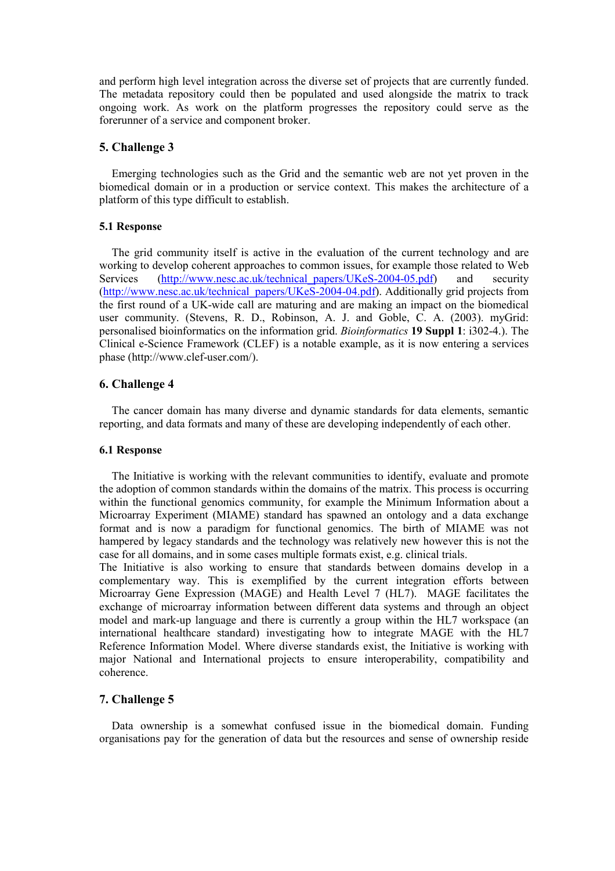and perform high level integration across the diverse set of projects that are currently funded. The metadata repository could then be populated and used alongside the matrix to track ongoing work. As work on the platform progresses the repository could serve as the forerunner of a service and component broker.

#### **5. Challenge 3**

Emerging technologies such as the Grid and the semantic web are not yet proven in the biomedical domain or in a production or service context. This makes the architecture of a platform of this type difficult to establish.

#### **5.1 Response**

The grid community itself is active in the evaluation of the current technology and are working to develop coherent approaches to common issues, for example those related to Web Services (http://www.nesc.ac.uk/technical\_papers/UKeS-2004-05.pdf) and security (http://www.nesc.ac.uk/technical\_papers/UKeS-2004-04.pdf). Additionally grid projects from the first round of a UK-wide call are maturing and are making an impact on the biomedical user community. (Stevens, R. D., Robinson, A. J. and Goble, C. A. (2003). myGrid: personalised bioinformatics on the information grid. *Bioinformatics* **19 Suppl 1**: i302-4.). The Clinical e-Science Framework (CLEF) is a notable example, as it is now entering a services phase (http://www.clef-user.com/).

#### **6. Challenge 4**

The cancer domain has many diverse and dynamic standards for data elements, semantic reporting, and data formats and many of these are developing independently of each other.

#### **6.1 Response**

The Initiative is working with the relevant communities to identify, evaluate and promote the adoption of common standards within the domains of the matrix. This process is occurring within the functional genomics community, for example the Minimum Information about a Microarray Experiment (MIAME) standard has spawned an ontology and a data exchange format and is now a paradigm for functional genomics. The birth of MIAME was not hampered by legacy standards and the technology was relatively new however this is not the case for all domains, and in some cases multiple formats exist, e.g. clinical trials.

The Initiative is also working to ensure that standards between domains develop in a complementary way. This is exemplified by the current integration efforts between Microarray Gene Expression (MAGE) and Health Level 7 (HL7). MAGE facilitates the exchange of microarray information between different data systems and through an object model and mark-up language and there is currently a group within the HL7 workspace (an international healthcare standard) investigating how to integrate MAGE with the HL7 Reference Information Model. Where diverse standards exist, the Initiative is working with major National and International projects to ensure interoperability, compatibility and coherence.

### **7. Challenge 5**

Data ownership is a somewhat confused issue in the biomedical domain. Funding organisations pay for the generation of data but the resources and sense of ownership reside